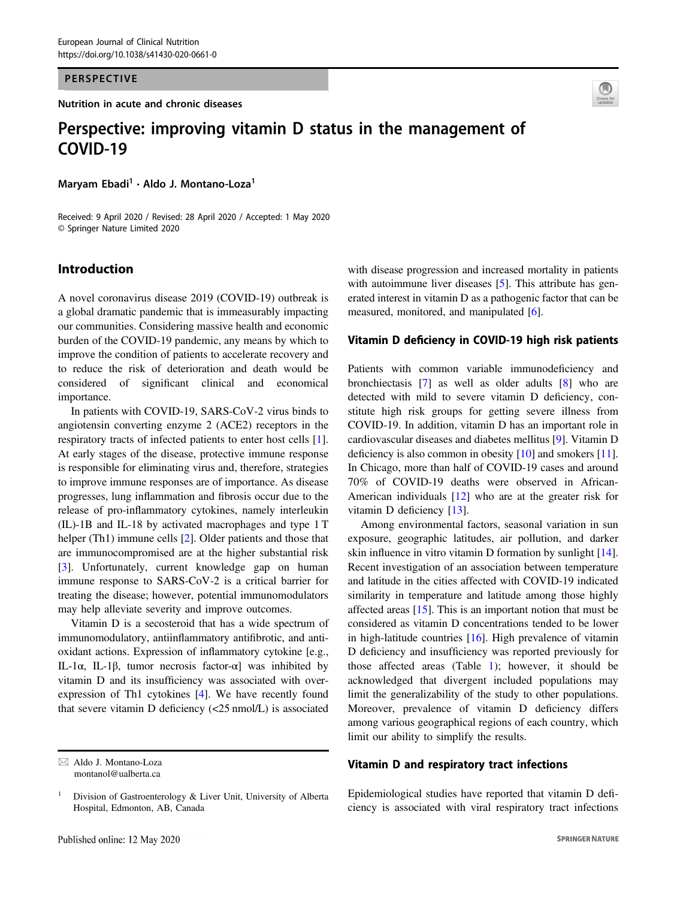#### PERSPECTIVE

Nutrition in acute and chronic diseases



# Perspective: improving vitamin D status in the management of COVID-19 COVID-19

Marvam Ebadi<sup>1</sup> · Aldo J. Montano-Loza<sup>1</sup>

Received: 9 April 2020 / Revised: 28 April 2020 / Accepted: 1 May 2020 © Springer Nature Limited 2020

# Introduction

A novel coronavirus disease 2019 (COVID-19) outbreak is a global dramatic pandemic that is immeasurably impacting our communities. Considering massive health and economic burden of the COVID-19 pandemic, any means by which to improve the condition of patients to accelerate recovery and to reduce the risk of deterioration and death would be considered of significant clinical and economical importance.

In patients with COVID-19, SARS-CoV-2 virus binds to angiotensin converting enzyme 2 (ACE2) receptors in the respiratory tracts of infected patients to enter host cells [\[1](#page-2-0)]. At early stages of the disease, protective immune response is responsible for eliminating virus and, therefore, strategies to improve immune responses are of importance. As disease progresses, lung inflammation and fibrosis occur due to the release of pro-inflammatory cytokines, namely interleukin (IL)-1B and IL-18 by activated macrophages and type 1 T helper (Th1) immune cells [\[2](#page-2-0)]. Older patients and those that are immunocompromised are at the higher substantial risk [\[3](#page-2-0)]. Unfortunately, current knowledge gap on human immune response to SARS-CoV-2 is a critical barrier for treating the disease; however, potential immunomodulators may help alleviate severity and improve outcomes.

Vitamin D is a secosteroid that has a wide spectrum of immunomodulatory, antiinflammatory antifibrotic, and antioxidant actions. Expression of inflammatory cytokine [e.g., IL-1α, IL-1β, tumor necrosis factor-α] was inhibited by vitamin D and its insufficiency was associated with overexpression of Th1 cytokines [[4\]](#page-2-0). We have recently found that severe vitamin D deficiency (<25 nmol/L) is associated

 $\boxtimes$  Aldo J. Montano-Loza [montanol@ualberta.ca](mailto:montanol@ualberta.ca)

with disease progression and increased mortality in patients with autoimmune liver diseases [\[5](#page-2-0)]. This attribute has generated interest in vitamin D as a pathogenic factor that can be measured, monitored, and manipulated [[6\]](#page-2-0).

## Vitamin D deficiency in COVID-19 high risk patients

Patients with common variable immunodeficiency and bronchiectasis [[7\]](#page-2-0) as well as older adults [\[8](#page-2-0)] who are detected with mild to severe vitamin D deficiency, constitute high risk groups for getting severe illness from COVID-19. In addition, vitamin D has an important role in cardiovascular diseases and diabetes mellitus [\[9](#page-2-0)]. Vitamin D deficiency is also common in obesity [[10\]](#page-2-0) and smokers [[11\]](#page-2-0). In Chicago, more than half of COVID-19 cases and around 70% of COVID-19 deaths were observed in African-American individuals [\[12](#page-2-0)] who are at the greater risk for vitamin D deficiency [\[13](#page-2-0)].

Among environmental factors, seasonal variation in sun exposure, geographic latitudes, air pollution, and darker skin influence in vitro vitamin D formation by sunlight [[14\]](#page-2-0). Recent investigation of an association between temperature and latitude in the cities affected with COVID-19 indicated similarity in temperature and latitude among those highly affected areas  $[15]$  $[15]$  $[15]$ . This is an important notion that must be considered as vitamin D concentrations tended to be lower in high-latitude countries [[16\]](#page-2-0). High prevalence of vitamin D deficiency and insufficiency was reported previously for those affected areas (Table [1\)](#page-1-0); however, it should be acknowledged that divergent included populations may limit the generalizability of the study to other populations. Moreover, prevalence of vitamin D deficiency differs among various geographical regions of each country, which limit our ability to simplify the results.

## Vitamin D and respiratory tract infections

Epidemiological studies have reported that vitamin D deficiency is associated with viral respiratory tract infections

<sup>&</sup>lt;sup>1</sup> Division of Gastroenterology  $\&$  Liver Unit, University of Alberta Hospital, Edmonton, AB, Canada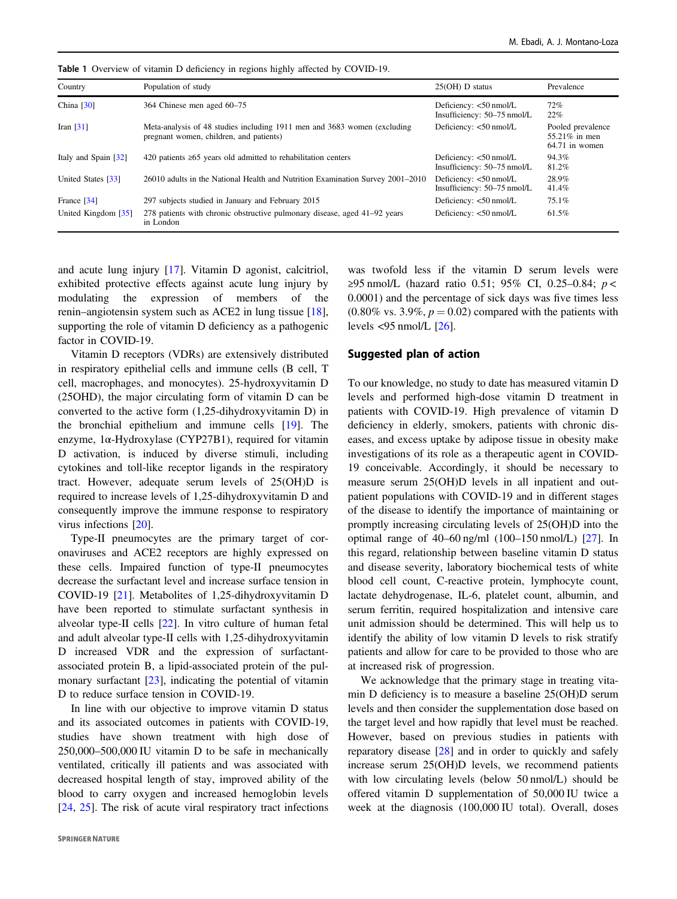| Country                 | Population of study                                                                                                 | $25(OH)$ D status                                     | Prevalence                                             |
|-------------------------|---------------------------------------------------------------------------------------------------------------------|-------------------------------------------------------|--------------------------------------------------------|
| China $[30]$            | 364 Chinese men aged 60–75                                                                                          | Deficiency: <50 nmol/L<br>Insufficiency: 50-75 nmol/L | 72%<br>22%                                             |
| Iran $\lceil 31 \rceil$ | Meta-analysis of 48 studies including 1911 men and 3683 women (excluding<br>pregnant women, children, and patients) | Deficiency: <50 nmol/L                                | Pooled prevalence<br>55.21% in men<br>$64.71$ in women |
| Italy and Spain [32]    | 420 patients $\geq 65$ years old admitted to rehabilitation centers                                                 | Deficiency: <50 nmol/L<br>Insufficiency: 50-75 nmol/L | 94.3%<br>81.2%                                         |
| United States [33]      | 26010 adults in the National Health and Nutrition Examination Survey 2001–2010                                      | Deficiency: <50 nmol/L<br>Insufficiency: 50-75 nmol/L | 28.9%<br>41.4%                                         |
| France [34]             | 297 subjects studied in January and February 2015                                                                   | Deficiency: <50 nmol/L                                | 75.1%                                                  |
| United Kingdom [35]     | 278 patients with chronic obstructive pulmonary disease, aged 41–92 years<br>in London                              | Deficiency: $<$ 50 nmol/L                             | 61.5%                                                  |

<span id="page-1-0"></span>Table 1 Overview of vitamin D deficiency in regions highly affected by COVID-19.

and acute lung injury [\[17](#page-2-0)]. Vitamin D agonist, calcitriol, exhibited protective effects against acute lung injury by modulating the expression of members of the renin–angiotensin system such as ACE2 in lung tissue [\[18](#page-3-0)], supporting the role of vitamin D deficiency as a pathogenic factor in COVID-19.

Vitamin D receptors (VDRs) are extensively distributed in respiratory epithelial cells and immune cells (B cell, T cell, macrophages, and monocytes). 25-hydroxyvitamin D (25OHD), the major circulating form of vitamin D can be converted to the active form (1,25-dihydroxyvitamin D) in the bronchial epithelium and immune cells [\[19](#page-3-0)]. The enzyme, 1α-Hydroxylase (CYP27B1), required for vitamin D activation, is induced by diverse stimuli, including cytokines and toll-like receptor ligands in the respiratory tract. However, adequate serum levels of 25(OH)D is required to increase levels of 1,25-dihydroxyvitamin D and consequently improve the immune response to respiratory virus infections [[20](#page-3-0)].

Type-II pneumocytes are the primary target of coronaviruses and ACE2 receptors are highly expressed on these cells. Impaired function of type-II pneumocytes decrease the surfactant level and increase surface tension in COVID-19 [\[21\]](#page-3-0). Metabolites of 1,25-dihydroxyvitamin D have been reported to stimulate surfactant synthesis in alveolar type-II cells [[22\]](#page-3-0). In vitro culture of human fetal and adult alveolar type-II cells with 1,25-dihydroxyvitamin D increased VDR and the expression of surfactantassociated protein B, a lipid-associated protein of the pulmonary surfactant  $[23]$  $[23]$ , indicating the potential of vitamin D to reduce surface tension in COVID-19.

In line with our objective to improve vitamin D status and its associated outcomes in patients with COVID-19, studies have shown treatment with high dose of 250,000–500,000 IU vitamin D to be safe in mechanically ventilated, critically ill patients and was associated with decreased hospital length of stay, improved ability of the blood to carry oxygen and increased hemoglobin levels [\[24](#page-3-0), [25](#page-3-0)]. The risk of acute viral respiratory tract infections was twofold less if the vitamin D serum levels were ≥95 nmol/L (hazard ratio 0.51; 95% CI, 0.25–0.84; p < 0.0001) and the percentage of sick days was five times less  $(0.80\%$  vs. 3.9%,  $p = 0.02$ ) compared with the patients with levels  $\lt$ 95 nmol/L [[26\]](#page-3-0).

### Suggested plan of action

To our knowledge, no study to date has measured vitamin D levels and performed high-dose vitamin D treatment in patients with COVID-19. High prevalence of vitamin D deficiency in elderly, smokers, patients with chronic diseases, and excess uptake by adipose tissue in obesity make investigations of its role as a therapeutic agent in COVID-19 conceivable. Accordingly, it should be necessary to measure serum 25(OH)D levels in all inpatient and outpatient populations with COVID-19 and in different stages of the disease to identify the importance of maintaining or promptly increasing circulating levels of 25(OH)D into the optimal range of  $40-60$  ng/ml  $(100-150$  nmol/L)  $[27]$  $[27]$ . In this regard, relationship between baseline vitamin D status and disease severity, laboratory biochemical tests of white blood cell count, C-reactive protein, lymphocyte count, lactate dehydrogenase, IL-6, platelet count, albumin, and serum ferritin, required hospitalization and intensive care unit admission should be determined. This will help us to identify the ability of low vitamin D levels to risk stratify patients and allow for care to be provided to those who are at increased risk of progression.

We acknowledge that the primary stage in treating vitamin D deficiency is to measure a baseline 25(OH)D serum levels and then consider the supplementation dose based on the target level and how rapidly that level must be reached. However, based on previous studies in patients with reparatory disease [[28\]](#page-3-0) and in order to quickly and safely increase serum 25(OH)D levels, we recommend patients with low circulating levels (below 50 nmol/L) should be offered vitamin D supplementation of 50,000 IU twice a week at the diagnosis (100,000 IU total). Overall, doses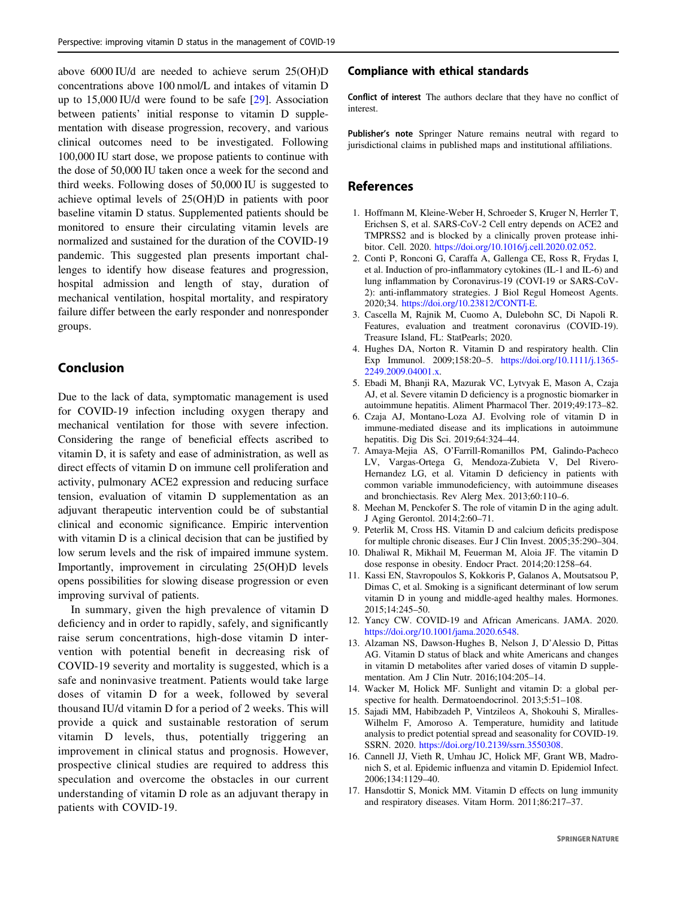<span id="page-2-0"></span>above 6000 IU/d are needed to achieve serum 25(OH)D concentrations above 100 nmol/L and intakes of vitamin D up to 15,000 IU/d were found to be safe [\[29](#page-3-0)]. Association between patients' initial response to vitamin D supplementation with disease progression, recovery, and various clinical outcomes need to be investigated. Following 100,000 IU start dose, we propose patients to continue with the dose of 50,000 IU taken once a week for the second and third weeks. Following doses of 50,000 IU is suggested to achieve optimal levels of 25(OH)D in patients with poor baseline vitamin D status. Supplemented patients should be monitored to ensure their circulating vitamin levels are normalized and sustained for the duration of the COVID-19 pandemic. This suggested plan presents important challenges to identify how disease features and progression, hospital admission and length of stay, duration of mechanical ventilation, hospital mortality, and respiratory failure differ between the early responder and nonresponder groups.

# Conclusion

Due to the lack of data, symptomatic management is used for COVID-19 infection including oxygen therapy and mechanical ventilation for those with severe infection. Considering the range of beneficial effects ascribed to vitamin D, it is safety and ease of administration, as well as direct effects of vitamin D on immune cell proliferation and activity, pulmonary ACE2 expression and reducing surface tension, evaluation of vitamin D supplementation as an adjuvant therapeutic intervention could be of substantial clinical and economic significance. Empiric intervention with vitamin D is a clinical decision that can be justified by low serum levels and the risk of impaired immune system. Importantly, improvement in circulating 25(OH)D levels opens possibilities for slowing disease progression or even improving survival of patients.

In summary, given the high prevalence of vitamin D deficiency and in order to rapidly, safely, and significantly raise serum concentrations, high-dose vitamin D intervention with potential benefit in decreasing risk of COVID-19 severity and mortality is suggested, which is a safe and noninvasive treatment. Patients would take large doses of vitamin D for a week, followed by several thousand IU/d vitamin D for a period of 2 weeks. This will provide a quick and sustainable restoration of serum vitamin D levels, thus, potentially triggering an improvement in clinical status and prognosis. However, prospective clinical studies are required to address this speculation and overcome the obstacles in our current understanding of vitamin D role as an adjuvant therapy in patients with COVID-19.

#### Compliance with ethical standards

Conflict of interest The authors declare that they have no conflict of interest.

Publisher's note Springer Nature remains neutral with regard to jurisdictional claims in published maps and institutional affiliations.

# References

- 1. Hoffmann M, Kleine-Weber H, Schroeder S, Kruger N, Herrler T, Erichsen S, et al. SARS-CoV-2 Cell entry depends on ACE2 and TMPRSS2 and is blocked by a clinically proven protease inhibitor. Cell. 2020. [https://doi.org/10.1016/j.cell.2020.02.052.](https://doi.org/10.1016/j.cell.2020.02.052)
- 2. Conti P, Ronconi G, Caraffa A, Gallenga CE, Ross R, Frydas I, et al. Induction of pro-inflammatory cytokines (IL-1 and IL-6) and lung inflammation by Coronavirus-19 (COVI-19 or SARS-CoV-2): anti-inflammatory strategies. J Biol Regul Homeost Agents. 2020;34. [https://doi.org/10.23812/CONTI-E.](https://doi.org/10.23812/CONTI-E)
- 3. Cascella M, Rajnik M, Cuomo A, Dulebohn SC, Di Napoli R. Features, evaluation and treatment coronavirus (COVID-19). Treasure Island, FL: StatPearls; 2020.
- 4. Hughes DA, Norton R. Vitamin D and respiratory health. Clin Exp Immunol. 2009;158:20–5. [https://doi.org/10.1111/j.1365-](https://doi.org/10.1111/j.1365-2249.2009.04001.x) [2249.2009.04001.x.](https://doi.org/10.1111/j.1365-2249.2009.04001.x)
- 5. Ebadi M, Bhanji RA, Mazurak VC, Lytvyak E, Mason A, Czaja AJ, et al. Severe vitamin D deficiency is a prognostic biomarker in autoimmune hepatitis. Aliment Pharmacol Ther. 2019;49:173–82.
- 6. Czaja AJ, Montano-Loza AJ. Evolving role of vitamin D in immune-mediated disease and its implications in autoimmune hepatitis. Dig Dis Sci. 2019;64:324–44.
- 7. Amaya-Mejia AS, O'Farrill-Romanillos PM, Galindo-Pacheco LV, Vargas-Ortega G, Mendoza-Zubieta V, Del Rivero-Hernandez LG, et al. Vitamin D deficiency in patients with common variable immunodeficiency, with autoimmune diseases and bronchiectasis. Rev Alerg Mex. 2013;60:110–6.
- 8. Meehan M, Penckofer S. The role of vitamin D in the aging adult. J Aging Gerontol. 2014;2:60–71.
- 9. Peterlik M, Cross HS. Vitamin D and calcium deficits predispose for multiple chronic diseases. Eur J Clin Invest. 2005;35:290–304.
- 10. Dhaliwal R, Mikhail M, Feuerman M, Aloia JF. The vitamin D dose response in obesity. Endocr Pract. 2014;20:1258–64.
- 11. Kassi EN, Stavropoulos S, Kokkoris P, Galanos A, Moutsatsou P, Dimas C, et al. Smoking is a significant determinant of low serum vitamin D in young and middle-aged healthy males. Hormones. 2015;14:245–50.
- 12. Yancy CW. COVID-19 and African Americans. JAMA. 2020. [https://doi.org/10.1001/jama.2020.6548.](https://doi.org/10.1001/jama.2020.6548)
- 13. Alzaman NS, Dawson-Hughes B, Nelson J, D'Alessio D, Pittas AG. Vitamin D status of black and white Americans and changes in vitamin D metabolites after varied doses of vitamin D supplementation. Am J Clin Nutr. 2016;104:205–14.
- 14. Wacker M, Holick MF. Sunlight and vitamin D: a global perspective for health. Dermatoendocrinol. 2013;5:51–108.
- 15. Sajadi MM, Habibzadeh P, Vintzileos A, Shokouhi S, Miralles-Wilhelm F, Amoroso A. Temperature, humidity and latitude analysis to predict potential spread and seasonality for COVID-19. SSRN. 2020. [https://doi.org/10.2139/ssrn.3550308.](https://doi.org/10.2139/ssrn.3550308)
- 16. Cannell JJ, Vieth R, Umhau JC, Holick MF, Grant WB, Madronich S, et al. Epidemic influenza and vitamin D. Epidemiol Infect. 2006;134:1129–40.
- 17. Hansdottir S, Monick MM. Vitamin D effects on lung immunity and respiratory diseases. Vitam Horm. 2011;86:217–37.